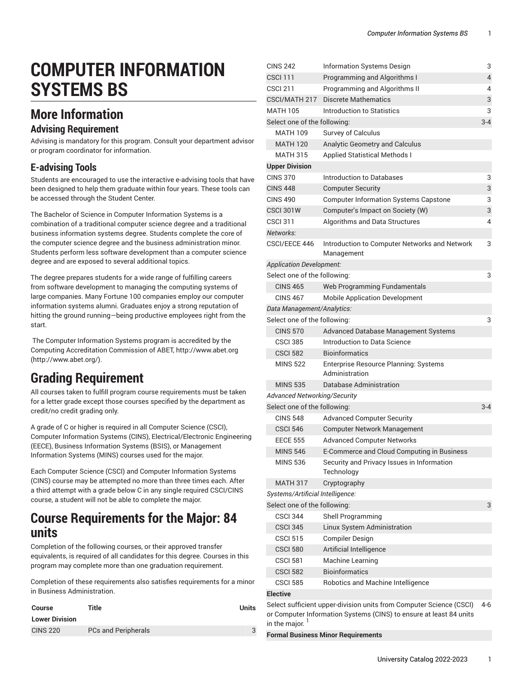$C<sub>1</sub> = 242$  Information Systems Design  $32$ 

# **COMPUTER INFORMATION SYSTEMS BS**

### **More Information**

#### **Advising Requirement**

Advising is mandatory for this program. Consult your department advisor or program coordinator for information.

#### **E-advising Tools**

Students are encouraged to use the interactive e-advising tools that have been designed to help them graduate within four years. These tools can be accessed through the Student Center.

The Bachelor of Science in Computer Information Systems is a combination of a traditional computer science degree and a traditional business information systems degree. Students complete the core of the computer science degree and the business administration minor. Students perform less software development than a computer science degree and are exposed to several additional topics.

The degree prepares students for a wide range of fulfilling careers from software development to managing the computing systems of large companies. Many Fortune 100 companies employ our computer information systems alumni. Graduates enjoy a strong reputation of hitting the ground running—being productive employees right from the start.

The Computer Information Systems program is accredited by the Computing Accreditation Commission of ABET, [http://www.abet.org](http://www.abet.org/) ([http://www.abet.org/\)](http://www.abet.org/).

### **Grading Requirement**

All courses taken to fulfill program course requirements must be taken for a letter grade except those courses specified by the department as credit/no credit grading only.

A grade of C or higher is required in all Computer Science (CSCI), Computer Information Systems (CINS), Electrical/Electronic Engineering (EECE), Business Information Systems (BSIS), or Management Information Systems (MINS) courses used for the major.

Each Computer Science (CSCI) and Computer Information Systems (CINS) course may be attempted no more than three times each. After a third attempt with a grade below C in any single required CSCI/CINS course, a student will not be able to complete the major.

### **Course Requirements for the Major: 84 units**

Completion of the following courses, or their approved transfer equivalents, is required of all candidates for this degree. Courses in this program may complete more than one graduation requirement.

Completion of these requirements also satisfies requirements for a minor in Business Administration.

| Course                | Title                      | Units |
|-----------------------|----------------------------|-------|
| <b>Lower Division</b> |                            |       |
| <b>CINS 220</b>       | <b>PCs and Peripherals</b> |       |

| UINJ Z4Z                                                                            | information Systems Design                                          | J   |  |  |
|-------------------------------------------------------------------------------------|---------------------------------------------------------------------|-----|--|--|
| <b>CSCI 111</b>                                                                     | Programming and Algorithms I                                        | 4   |  |  |
| <b>CSCI 211</b>                                                                     | Programming and Algorithms II                                       | 4   |  |  |
| CSCI/MATH 217                                                                       | <b>Discrete Mathematics</b>                                         | 3   |  |  |
| <b>MATH 105</b>                                                                     | <b>Introduction to Statistics</b>                                   | 3   |  |  |
| Select one of the following:                                                        |                                                                     | 3-4 |  |  |
| <b>MATH 109</b>                                                                     | Survey of Calculus                                                  |     |  |  |
| <b>MATH 120</b>                                                                     | Analytic Geometry and Calculus                                      |     |  |  |
| <b>MATH 315</b>                                                                     | <b>Applied Statistical Methods I</b>                                |     |  |  |
| <b>Upper Division</b>                                                               |                                                                     |     |  |  |
| <b>CINS 370</b>                                                                     | Introduction to Databases                                           | 3   |  |  |
| <b>CINS 448</b>                                                                     | <b>Computer Security</b>                                            | 3   |  |  |
| <b>CINS 490</b>                                                                     | <b>Computer Information Systems Capstone</b>                        | 3   |  |  |
| <b>CSCI 301W</b>                                                                    | Computer's Impact on Society (W)                                    | 3   |  |  |
| <b>CSCI 311</b>                                                                     | Algorithms and Data Structures                                      | 4   |  |  |
| Networks:                                                                           |                                                                     |     |  |  |
| CSCI/EECE 446                                                                       | Introduction to Computer Networks and Network<br>Management         | 3   |  |  |
| <b>Application Development:</b>                                                     |                                                                     |     |  |  |
| Select one of the following:                                                        |                                                                     | 3   |  |  |
| <b>CINS 465</b>                                                                     | Web Programming Fundamentals                                        |     |  |  |
| <b>CINS 467</b>                                                                     | <b>Mobile Application Development</b>                               |     |  |  |
| Data Management/Analytics:                                                          |                                                                     |     |  |  |
| Select one of the following:                                                        |                                                                     | 3   |  |  |
| <b>CINS 570</b>                                                                     | Advanced Database Management Systems                                |     |  |  |
| <b>CSCI 385</b>                                                                     | Introduction to Data Science                                        |     |  |  |
| <b>CSCI 582</b>                                                                     | <b>Bioinformatics</b>                                               |     |  |  |
| <b>MINS 522</b>                                                                     | <b>Enterprise Resource Planning: Systems</b><br>Administration      |     |  |  |
| <b>MINS 535</b>                                                                     | Database Administration                                             |     |  |  |
| <b>Advanced Networking/Security</b>                                                 |                                                                     |     |  |  |
| Select one of the following:                                                        |                                                                     | 3-4 |  |  |
| <b>CINS 548</b>                                                                     | <b>Advanced Computer Security</b>                                   |     |  |  |
| <b>CSCI 546</b>                                                                     | <b>Computer Network Management</b>                                  |     |  |  |
| <b>EECE 555</b>                                                                     | <b>Advanced Computer Networks</b>                                   |     |  |  |
| <b>MINS 546</b>                                                                     | E-Commerce and Cloud Computing in Business                          |     |  |  |
| <b>MINS 536</b>                                                                     | Security and Privacy Issues in Information<br>Technology            |     |  |  |
| <b>MATH 317</b>                                                                     | Cryptography                                                        |     |  |  |
| Systems/Artificial Intelligence:                                                    |                                                                     |     |  |  |
| Select one of the following:                                                        |                                                                     | 3   |  |  |
| <b>CSCI 344</b>                                                                     | Shell Programming                                                   |     |  |  |
| <b>CSCI 345</b>                                                                     | Linux System Administration                                         |     |  |  |
| <b>CSCI 515</b>                                                                     | Compiler Design                                                     |     |  |  |
| <b>CSCI 580</b>                                                                     | Artificial Intelligence                                             |     |  |  |
| <b>CSCI 581</b>                                                                     | Machine Learning                                                    |     |  |  |
| <b>CSCI 582</b>                                                                     | <b>Bioinformatics</b>                                               |     |  |  |
| <b>CSCI 585</b>                                                                     | Robotics and Machine Intelligence                                   |     |  |  |
| <b>Elective</b>                                                                     |                                                                     |     |  |  |
|                                                                                     | Select sufficient upper-division units from Computer Science (CSCI) | 4-6 |  |  |
| or Computer Information Systems (CINS) to ensure at least 84 units<br>in the major. |                                                                     |     |  |  |

**Formal Business Minor Requirements**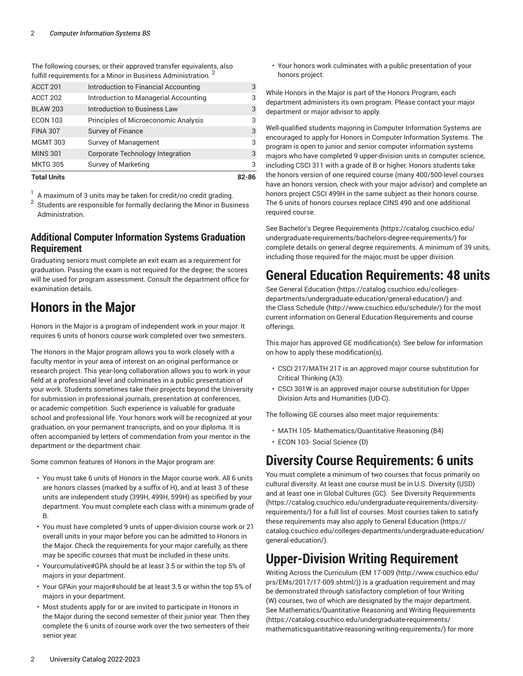The following courses, or their approved transfer equivalents, also fulfill requirements for a Minor in Business Administration.<sup>2</sup>

| <b>Total Units</b> |                                       | 82-86 |
|--------------------|---------------------------------------|-------|
| <b>MKTG 305</b>    | Survey of Marketing                   | 3     |
| <b>MINS 301</b>    | Corporate Technology Integration      | 3     |
| <b>MGMT 303</b>    | Survey of Management                  | 3     |
| <b>FINA 307</b>    | Survey of Finance                     | 3     |
| <b>ECON 103</b>    | Principles of Microeconomic Analysis  | 3     |
| <b>BLAW 203</b>    | Introduction to Business Law          | 3     |
| ACCT 202           | Introduction to Managerial Accounting | 3     |
| ACCT 201           | Introduction to Financial Accounting  | 3     |
|                    |                                       |       |

1 A maximum of 3 units may be taken for credit/no credit grading. 2 Students are responsible for formally declaring the Minor in Business Administration.

#### **Additional Computer Information Systems Graduation Requirement**

Graduating seniors must complete an exit exam as a requirement for graduation. Passing the exam is not required for the degree; the scores will be used for program assessment. Consult the department office for examination details.

### **Honors in the Major**

Honors in the Major is a program of independent work in your major. It requires 6 units of honors course work completed over two semesters.

The Honors in the Major program allows you to work closely with a faculty mentor in your area of interest on an original performance or research project. This year-long collaboration allows you to work in your field at a professional level and culminates in a public presentation of your work. Students sometimes take their projects beyond the University for submission in professional journals, presentation at conferences, or academic competition. Such experience is valuable for graduate school and professional life. Your honors work will be recognized at your graduation, on your permanent transcripts, and on your diploma. It is often accompanied by letters of commendation from your mentor in the department or the department chair.

Some common features of Honors in the Major program are:

- You must take 6 units of Honors in the Major course work. All 6 units are honors classes (marked by a suffix of H), and at least 3 of these units are independent study (399H, 499H, 599H) as specified by your department. You must complete each class with a minimum grade of B.
- You must have completed 9 units of upper-division course work or 21 overall units in your major before you can be admitted to Honors in the Major. Check the requirements for your major carefully, as there may be specific courses that must be included in these units.
- Yourcumulative#GPA should be at least 3.5 or within the top 5% of majors in your department.
- Your GPAin your major#should be at least 3.5 or within the top 5% of majors in your department.
- Most students apply for or are invited to participate in Honors in the Major during the second semester of their junior year. Then they complete the 6 units of course work over the two semesters of their senior year.

• Your honors work culminates with a public presentation of your honors project.

While Honors in the Major is part of the Honors Program, each department administers its own program. Please contact your major department or major advisor to apply.

Well-qualified students majoring in Computer Information Systems are encouraged to apply for Honors in Computer Information Systems. The program is open to junior and senior computer information systems majors who have completed 9 upper-division units in computer science, including CSCI 311 with a grade of B or higher. Honors students take the honors version of one required course (many 400/500-level courses have an honors version, check with your major advisor) and complete an honors project CSCI 499H in the same subject as their honors course. The 6 units of honors courses replace CINS 490 and one additional required course.

See Bachelor's Degree [Requirements \(https://catalog.csuchico.edu/](https://catalog.csuchico.edu/undergraduate-requirements/bachelors-degree-requirements/) [undergraduate-requirements/bachelors-degree-requirements/](https://catalog.csuchico.edu/undergraduate-requirements/bachelors-degree-requirements/)) for complete details on general degree requirements. A minimum of 39 units, including those required for the major, must be upper division.

## **General Education Requirements: 48 units**

See General [Education \(https://catalog.csuchico.edu/colleges](https://catalog.csuchico.edu/colleges-departments/undergraduate-education/general-education/)[departments/undergraduate-education/general-education/\)](https://catalog.csuchico.edu/colleges-departments/undergraduate-education/general-education/) and the [Class Schedule](http://www.csuchico.edu/schedule/) ([http://www.csuchico.edu/schedule/\)](http://www.csuchico.edu/schedule/) for the most current information on General Education Requirements and course offerings.

This major has approved GE modification(s). See below for information on how to apply these modification(s).

- CSCI 217/MATH 217 is an approved major course substitution for Critical Thinking (A3).
- CSCI 301W is an approved major course substitution for Upper Division Arts and Humanities (UD-C).

The following GE courses also meet major requirements:

- MATH 105- Mathematics/Quantitative Reasoning (B4)
- ECON 103- Social Science (D)

### **Diversity Course Requirements: 6 units**

You must complete a minimum of two courses that focus primarily on cultural diversity. At least one course must be in U.S. Diversity (USD) and at least one in Global Cultures (GC). See Diversity [Requirements](https://catalog.csuchico.edu/undergraduate-requirements/diversity-requirements/) [\(https://catalog.csuchico.edu/undergraduate-requirements/diversity](https://catalog.csuchico.edu/undergraduate-requirements/diversity-requirements/)[requirements/](https://catalog.csuchico.edu/undergraduate-requirements/diversity-requirements/)) for a full list of courses. Most courses taken to satisfy these requirements may also apply to General [Education \(https://](https://catalog.csuchico.edu/colleges-departments/undergraduate-education/general-education/) [catalog.csuchico.edu/colleges-departments/undergraduate-education/](https://catalog.csuchico.edu/colleges-departments/undergraduate-education/general-education/) [general-education/](https://catalog.csuchico.edu/colleges-departments/undergraduate-education/general-education/)).

## **Upper-Division Writing Requirement**

Writing Across the Curriculum [\(EM 17-009 \(http://www.csuchico.edu/](http://www.csuchico.edu/prs/EMs/2017/17-009.shtml/) [prs/EMs/2017/17-009.shtml/](http://www.csuchico.edu/prs/EMs/2017/17-009.shtml/))) is a graduation requirement and may be demonstrated through satisfactory completion of four Writing (W) courses, two of which are designated by the major department. See [Mathematics/Quantitative](https://catalog.csuchico.edu/undergraduate-requirements/mathematicsquantitative-reasoning-writing-requirements/) Reasoning and Writing Requirements [\(https://catalog.csuchico.edu/undergraduate-requirements/](https://catalog.csuchico.edu/undergraduate-requirements/mathematicsquantitative-reasoning-writing-requirements/) [mathematicsquantitative-reasoning-writing-requirements/\)](https://catalog.csuchico.edu/undergraduate-requirements/mathematicsquantitative-reasoning-writing-requirements/) for more